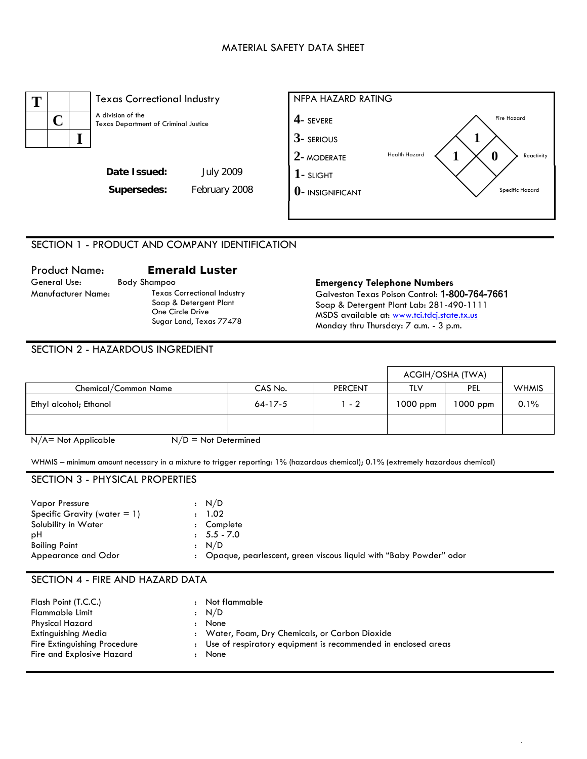## MATERIAL SAFETY DATA SHEET





# SECTION 1 - PRODUCT AND COMPANY IDENTIFICATION

# Product Name: **Emerald Luster**  General Use: Body Shampoo **Emergency Telephone Numbers** Manufacturer Name: Texas Correctional Industry One Circle Drive

Soap & Detergent Plant Sugar Land, Texas 77478 Galveston Texas Poison Control: 1-800-764-7661 Soap & Detergent Plant Lab: 281-490-1111 MSDS available at: www.tci.tdcj.state.tx.us Monday thru Thursday: 7 a.m. - 3 p.m.

## SECTION 2 - HAZARDOUS INGREDIENT

|                        |           |                | ACGIH/OSHA (TWA) |          |              |
|------------------------|-----------|----------------|------------------|----------|--------------|
| Chemical/Common Name   | CAS No.   | <b>PERCENT</b> | TLV              | PEL      | <b>WHMIS</b> |
| Ethyl alcohol; Ethanol | $64-17-5$ | $1 - 2$        | $1000$ ppm       | 1000 ppm | 0.1%         |
|                        |           |                |                  |          |              |

 $N/A$  = Not Applicable  $N/D$  = Not Determined

WHMIS – minimum amount necessary in a mixture to trigger reporting: 1% (hazardous chemical); 0.1% (extremely hazardous chemical)

# SECTION 3 - PHYSICAL PROPERTIES

| <b>Vapor Pressure</b>           |              | : N/D                                                             |
|---------------------------------|--------------|-------------------------------------------------------------------|
| Specific Gravity (water $= 1$ ) |              | 1.02                                                              |
| Solubility in Water             | $\mathbf{r}$ | Complete                                                          |
| рH                              |              | $: 5.5 - 7.0$                                                     |
| <b>Boiling Point</b>            |              | : N/D                                                             |
| Appearance and Odor             |              | Opaque, pearlescent, green viscous liquid with "Baby Powder" odor |

### SECTION 4 - FIRE AND HAZARD DATA

| Flash Point (T.C.C.)<br>Flammable Limit<br>Physical Hazard                       | $\ddot{\phantom{a}}$ | Not flammable<br>: N/D<br>: None                                                                                           |
|----------------------------------------------------------------------------------|----------------------|----------------------------------------------------------------------------------------------------------------------------|
| Extinguishing Media<br>Fire Extinguishing Procedure<br>Fire and Explosive Hazard |                      | : Water, Foam, Dry Chemicals, or Carbon Dioxide<br>: Use of respiratory equipment is recommended in enclosed areas<br>None |